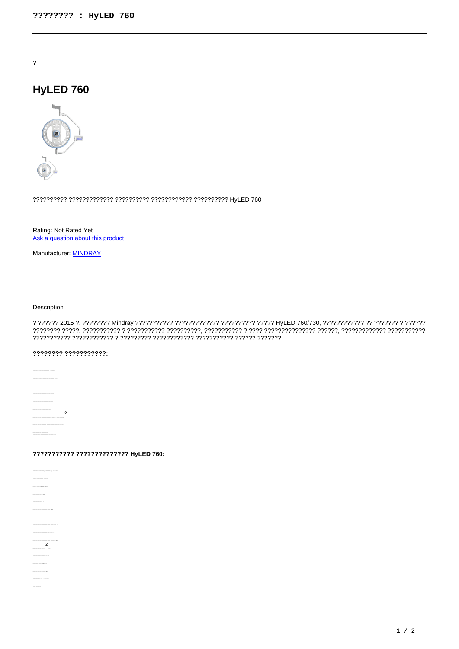$\overline{?}$ 

# HyLED 760



Rating: Not Rated Yet Ask a question about this product

Manufacturer: **MINDRAY** 

## Description

#### ???????? ???????????

 $\overline{\phantom{a}}$ 

## ??????????? ????????????? HyLED 760:

 $\overline{a}$